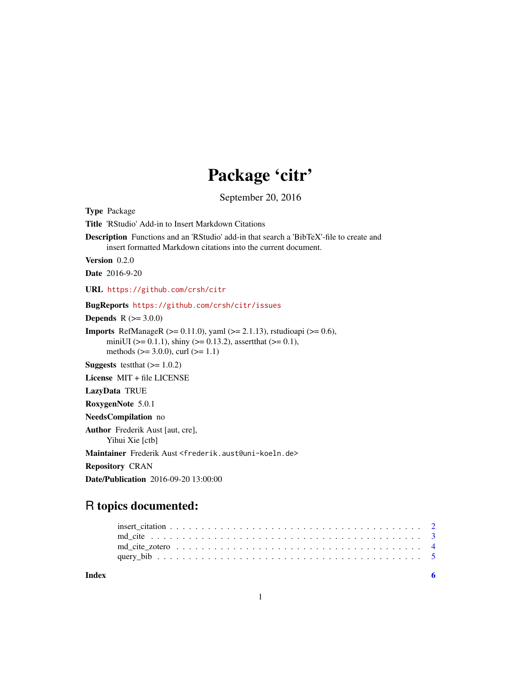# Package 'citr'

September 20, 2016

<span id="page-0-0"></span>

| <b>Type Package</b>                                                                                                                                                                                               |
|-------------------------------------------------------------------------------------------------------------------------------------------------------------------------------------------------------------------|
| <b>Title</b> 'RStudio' Add-in to Insert Markdown Citations                                                                                                                                                        |
| <b>Description</b> Functions and an 'RStudio' add-in that search a 'BibTeX'-file to create and<br>insert formatted Markdown citations into the current document.                                                  |
| Version 0.2.0                                                                                                                                                                                                     |
| <b>Date</b> 2016-9-20                                                                                                                                                                                             |
| URL https://github.com/crsh/citr                                                                                                                                                                                  |
| BugReports https://github.com/crsh/citr/issues                                                                                                                                                                    |
| <b>Depends</b> $R (= 3.0.0)$                                                                                                                                                                                      |
| <b>Imports</b> RefManageR ( $>= 0.11.0$ ), yaml ( $>= 2.1.13$ ), rstudioapi ( $>= 0.6$ ),<br>miniUI ( $> = 0.1.1$ ), shiny ( $> = 0.13.2$ ), assert that ( $> = 0.1$ ),<br>methods $(>= 3.0.0)$ , curl $(>= 1.1)$ |
| <b>Suggests</b> test that $(>= 1.0.2)$                                                                                                                                                                            |
| License MIT + file LICENSE                                                                                                                                                                                        |
| LazyData TRUE                                                                                                                                                                                                     |
| RoxygenNote 5.0.1                                                                                                                                                                                                 |
| NeedsCompilation no                                                                                                                                                                                               |
| <b>Author</b> Frederik Aust [aut, cre],<br>Yihui Xie [ctb]                                                                                                                                                        |
| Maintainer Frederik Aust <frederik.aust@uni-koeln.de></frederik.aust@uni-koeln.de>                                                                                                                                |
| <b>Repository CRAN</b>                                                                                                                                                                                            |
| <b>Date/Publication</b> 2016-09-20 13:00:00                                                                                                                                                                       |

# R topics documented:

| Index |  |
|-------|--|
|       |  |
|       |  |
|       |  |
|       |  |
|       |  |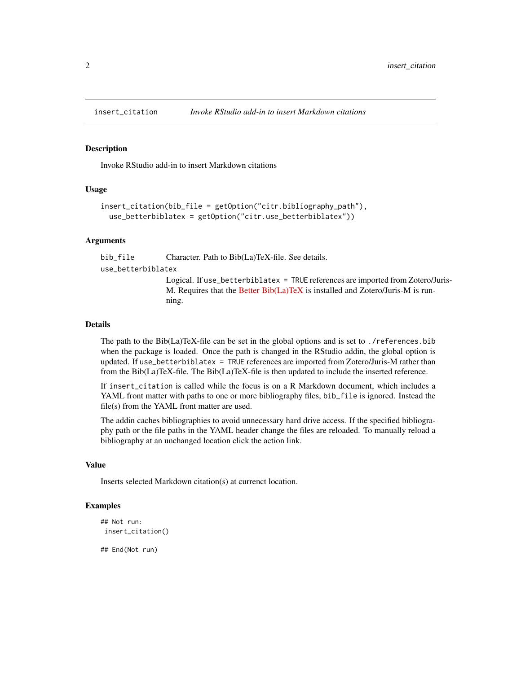<span id="page-1-1"></span><span id="page-1-0"></span>

# Description

Invoke RStudio add-in to insert Markdown citations

#### Usage

```
insert_citation(bib_file = getOption("citr.bibliography_path"),
 use_betterbiblatex = getOption("citr.use_betterbiblatex"))
```
### Arguments

bib\_file Character. Path to Bib(La)TeX-file. See details.

use\_betterbiblatex

Logical. If use\_betterbiblatex = TRUE references are imported from Zotero/Juris-M. Requires that the [Better Bib\(La\)TeX](https://github.com/retorquere/zotero-better-bibtex) is installed and Zotero/Juris-M is running.

#### Details

The path to the Bib(La)TeX-file can be set in the global options and is set to ./references.bib when the package is loaded. Once the path is changed in the RStudio addin, the global option is updated. If use\_betterbiblatex = TRUE references are imported from Zotero/Juris-M rather than from the Bib(La)TeX-file. The Bib(La)TeX-file is then updated to include the inserted reference.

If insert\_citation is called while the focus is on a R Markdown document, which includes a YAML front matter with paths to one or more bibliography files, bib\_file is ignored. Instead the file(s) from the YAML front matter are used.

The addin caches bibliographies to avoid unnecessary hard drive access. If the specified bibliography path or the file paths in the YAML header change the files are reloaded. To manually reload a bibliography at an unchanged location click the action link.

#### Value

Inserts selected Markdown citation(s) at currenct location.

# Examples

```
## Not run:
insert_citation()
```
## End(Not run)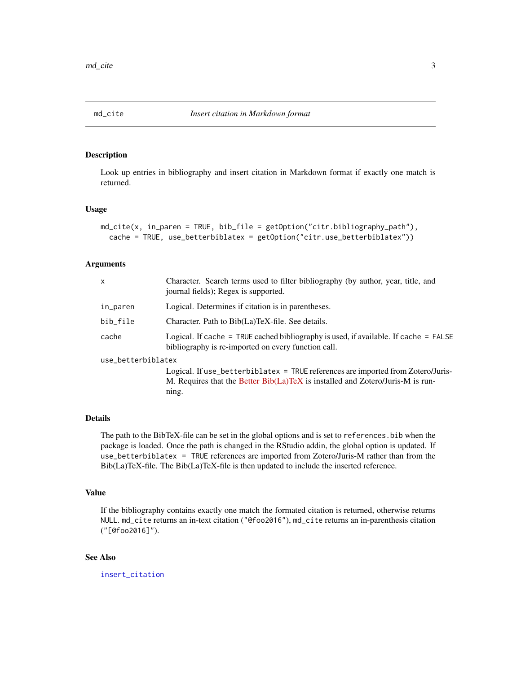<span id="page-2-1"></span><span id="page-2-0"></span>

# Description

Look up entries in bibliography and insert citation in Markdown format if exactly one match is returned.

# Usage

```
md_cite(x, in_paren = TRUE, bib_file = getOption("citr.bibliography_path"),
  cache = TRUE, use_betterbiblatex = getOption("citr.use_betterbiblatex"))
```
#### Arguments

| x                  | Character. Search terms used to filter bibliography (by author, year, title, and<br>journal fields); Regex is supported.                      |
|--------------------|-----------------------------------------------------------------------------------------------------------------------------------------------|
| in_paren           | Logical. Determines if citation is in parentheses.                                                                                            |
| bib_file           | Character. Path to Bib(La)TeX-file. See details.                                                                                              |
| cache              | Logical. If cache = TRUE cached bibliography is used, if available. If cache = $FALSE$<br>bibliography is re-imported on every function call. |
| use_betterbiblatex |                                                                                                                                               |
|                    | Logical. If use_betterbiblatex = TRUE references are imported from Zotero/Juris-                                                              |
|                    | M. Requires that the Better Bib(La)TeX is installed and Zotero/Juris-M is run-<br>ning.                                                       |

# Details

The path to the BibTeX-file can be set in the global options and is set to references.bib when the package is loaded. Once the path is changed in the RStudio addin, the global option is updated. If use\_betterbiblatex = TRUE references are imported from Zotero/Juris-M rather than from the Bib(La)TeX-file. The Bib(La)TeX-file is then updated to include the inserted reference.

# Value

If the bibliography contains exactly one match the formated citation is returned, otherwise returns NULL. md\_cite returns an in-text citation ("@foo2016"), md\_cite returns an in-parenthesis citation ("[@foo2016]").

# See Also

[insert\\_citation](#page-1-1)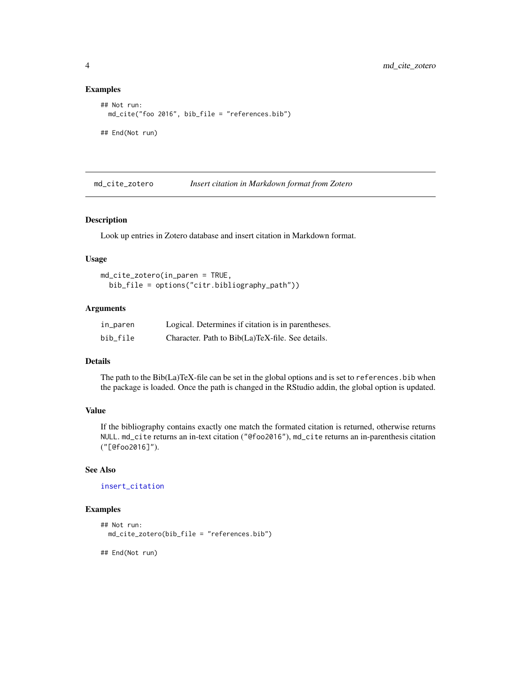# Examples

```
## Not run:
 md_cite("foo 2016", bib_file = "references.bib")
## End(Not run)
```
md\_cite\_zotero *Insert citation in Markdown format from Zotero*

# **Description**

Look up entries in Zotero database and insert citation in Markdown format.

# Usage

```
md_cite_zotero(in_paren = TRUE,
 bib_file = options("citr.bibliography_path"))
```
# Arguments

| in_paren | Logical. Determines if citation is in parentheses. |
|----------|----------------------------------------------------|
| bib file | Character. Path to Bib(La)TeX-file. See details.   |

### Details

The path to the Bib(La)TeX-file can be set in the global options and is set to references.bib when the package is loaded. Once the path is changed in the RStudio addin, the global option is updated.

# Value

If the bibliography contains exactly one match the formated citation is returned, otherwise returns NULL. md\_cite returns an in-text citation ("@foo2016"), md\_cite returns an in-parenthesis citation ("[@foo2016]").

# See Also

[insert\\_citation](#page-1-1)

# Examples

```
## Not run:
 md_cite_zotero(bib_file = "references.bib")
```
## End(Not run)

<span id="page-3-0"></span>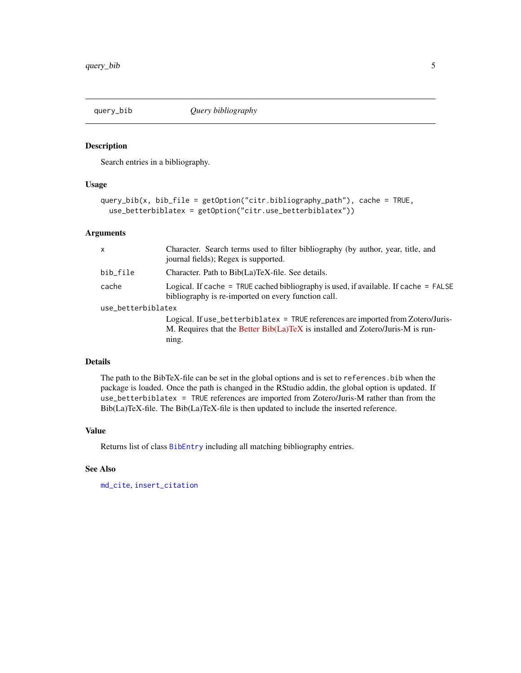<span id="page-4-0"></span>

# Description

Search entries in a bibliography.

### Usage

```
query_bib(x, bib_file = getOption("citr.bibliography_path"), cache = TRUE,
 use_betterbiblatex = getOption("citr.use_betterbiblatex"))
```
# Arguments

| $\mathsf{x}$       | Character. Search terms used to filter bibliography (by author, year, title, and<br>journal fields); Regex is supported.                                                    |
|--------------------|-----------------------------------------------------------------------------------------------------------------------------------------------------------------------------|
| bib_file           | Character. Path to Bib(La)TeX-file. See details.                                                                                                                            |
| cache              | Logical. If cache = TRUE cached bibliography is used, if available. If cache = $FALSE$<br>bibliography is re-imported on every function call.                               |
| use_betterbiblatex |                                                                                                                                                                             |
|                    | Logical. If use_betterbiblatex = TRUE references are imported from Zotero/Juris-<br>M. Requires that the Better Bib(La)TeX is installed and Zotero/Juris-M is run-<br>ning. |

### Details

The path to the BibTeX-file can be set in the global options and is set to references.bib when the package is loaded. Once the path is changed in the RStudio addin, the global option is updated. If use\_betterbiblatex = TRUE references are imported from Zotero/Juris-M rather than from the Bib(La)TeX-file. The Bib(La)TeX-file is then updated to include the inserted reference.

# Value

Returns list of class [BibEntry](#page-0-0) including all matching bibliography entries.

# See Also

[md\\_cite](#page-2-1), [insert\\_citation](#page-1-1)